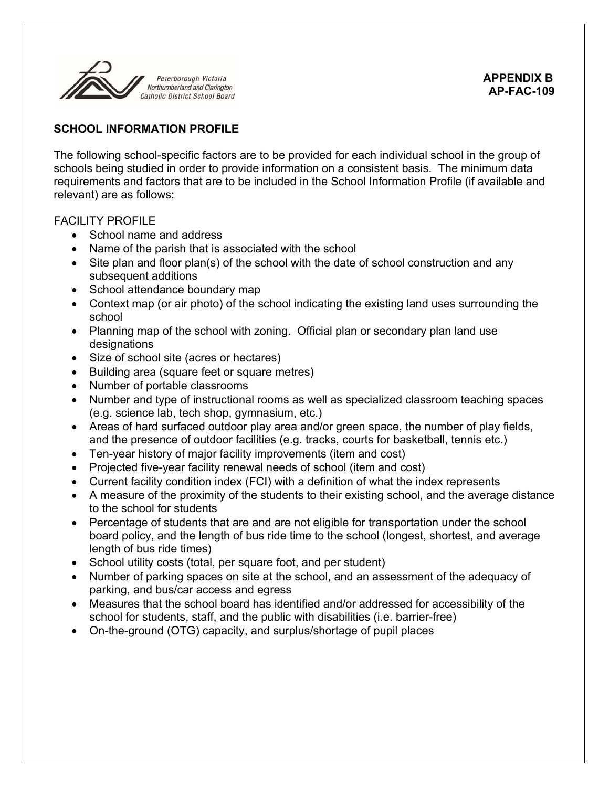

# **SCHOOL INFORMATION PROFILE**

The following school-specific factors are to be provided for each individual school in the group of schools being studied in order to provide information on a consistent basis. The minimum data requirements and factors that are to be included in the School Information Profile (if available and relevant) are as follows:

# FACILITY PROFILE

- School name and address
- Name of the parish that is associated with the school
- Site plan and floor plan(s) of the school with the date of school construction and any subsequent additions
- School attendance boundary map
- Context map (or air photo) of the school indicating the existing land uses surrounding the school
- Planning map of the school with zoning. Official plan or secondary plan land use designations
- Size of school site (acres or hectares)
- Building area (square feet or square metres)
- Number of portable classrooms
- Number and type of instructional rooms as well as specialized classroom teaching spaces (e.g. science lab, tech shop, gymnasium, etc.)
- Areas of hard surfaced outdoor play area and/or green space, the number of play fields, and the presence of outdoor facilities (e.g. tracks, courts for basketball, tennis etc.)
- Ten-year history of major facility improvements (item and cost)
- Projected five-year facility renewal needs of school (item and cost)
- Current facility condition index (FCI) with a definition of what the index represents
- A measure of the proximity of the students to their existing school, and the average distance to the school for students
- Percentage of students that are and are not eligible for transportation under the school board policy, and the length of bus ride time to the school (longest, shortest, and average length of bus ride times)
- School utility costs (total, per square foot, and per student)
- Number of parking spaces on site at the school, and an assessment of the adequacy of parking, and bus/car access and egress
- Measures that the school board has identified and/or addressed for accessibility of the school for students, staff, and the public with disabilities (i.e. barrier-free)
- On-the-ground (OTG) capacity, and surplus/shortage of pupil places